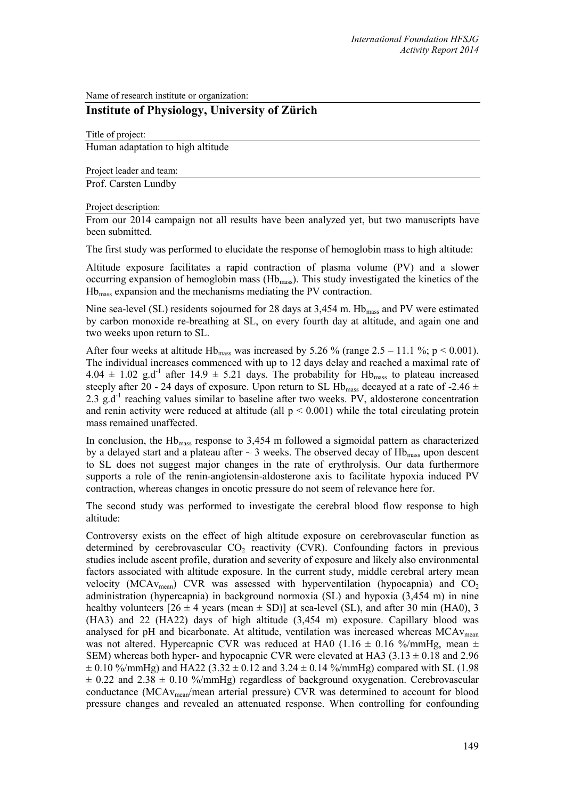Name of research institute or organization:

## **Institute of Physiology, University of Zürich**

Title of project: Human adaptation to high altitude

Project leader and team:

Prof. Carsten Lundby

## Project description:

From our 2014 campaign not all results have been analyzed yet, but two manuscripts have been submitted.

The first study was performed to elucidate the response of hemoglobin mass to high altitude:

Altitude exposure facilitates a rapid contraction of plasma volume (PV) and a slower occurring expansion of hemoglobin mass (Hbmass). This study investigated the kinetics of the Hbmass expansion and the mechanisms mediating the PV contraction.

Nine sea-level (SL) residents sojourned for 28 days at 3,454 m. Hb<sub>mass</sub> and PV were estimated by carbon monoxide re-breathing at SL, on every fourth day at altitude, and again one and two weeks upon return to SL.

After four weeks at altitude Hb<sub>mass</sub> was increased by 5.26 % (range  $2.5 - 11.1$  %; p < 0.001). The individual increases commenced with up to 12 days delay and reached a maximal rate of  $4.04 \pm 1.02$  g.d<sup>-1</sup> after  $14.9 \pm 5.21$  days. The probability for Hb<sub>mass</sub> to plateau increased steeply after 20 - 24 days of exposure. Upon return to SL Hb<sub>mass</sub> decayed at a rate of -2.46  $\pm$ 2.3 g.d<sup>-1</sup> reaching values similar to baseline after two weeks. PV, aldosterone concentration and renin activity were reduced at altitude (all  $p \le 0.001$ ) while the total circulating protein mass remained unaffected.

In conclusion, the  $Hb<sub>mass</sub>$  response to 3,454 m followed a sigmoidal pattern as characterized by a delayed start and a plateau after  $\sim$  3 weeks. The observed decay of Hb<sub>mass</sub> upon descent to SL does not suggest major changes in the rate of erythrolysis. Our data furthermore supports a role of the renin-angiotensin-aldosterone axis to facilitate hypoxia induced PV contraction, whereas changes in oncotic pressure do not seem of relevance here for.

The second study was performed to investigate the cerebral blood flow response to high altitude:

Controversy exists on the effect of high altitude exposure on cerebrovascular function as determined by cerebrovascular  $CO<sub>2</sub>$  reactivity (CVR). Confounding factors in previous studies include ascent profile, duration and severity of exposure and likely also environmental factors associated with altitude exposure. In the current study, middle cerebral artery mean velocity (MCAv<sub>mean</sub>) CVR was assessed with hyperventilation (hypocapnia) and  $CO<sub>2</sub>$ administration (hypercapnia) in background normoxia (SL) and hypoxia (3,454 m) in nine healthy volunteers  $[26 \pm 4$  years (mean  $\pm$  SD)] at sea-level (SL), and after 30 min (HA0), 3 (HA3) and 22 (HA22) days of high altitude (3,454 m) exposure. Capillary blood was analysed for pH and bicarbonate. At altitude, ventilation was increased whereas  $MCAv_{mean}$ was not altered. Hypercapnic CVR was reduced at HA0 (1.16  $\pm$  0.16 %/mmHg, mean  $\pm$ SEM) whereas both hyper- and hypocapnic CVR were elevated at HA3 (3.13  $\pm$  0.18 and 2.96  $\pm$  0.10 %/mmHg) and HA22 (3.32  $\pm$  0.12 and 3.24  $\pm$  0.14 %/mmHg) compared with SL (1.98  $\pm$  0.22 and 2.38  $\pm$  0.10 %/mmHg) regardless of background oxygenation. Cerebrovascular conductance (MCAvmean/mean arterial pressure) CVR was determined to account for blood pressure changes and revealed an attenuated response. When controlling for confounding